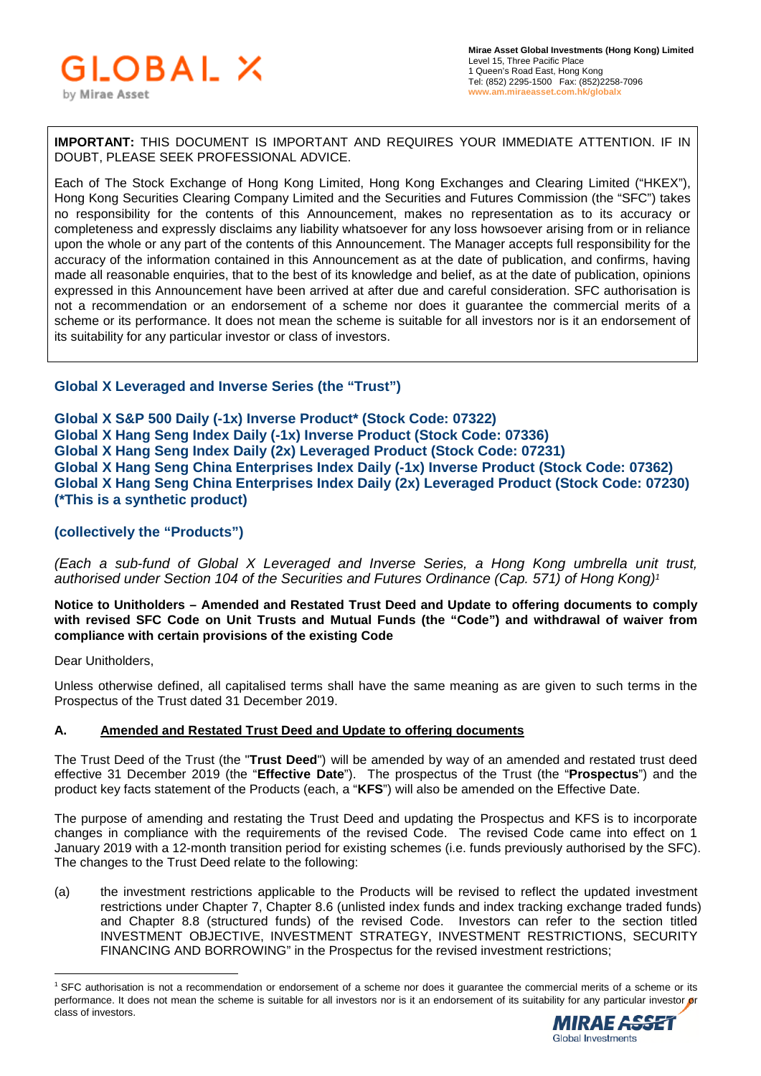

**IMPORTANT:** THIS DOCUMENT IS IMPORTANT AND REQUIRES YOUR IMMEDIATE ATTENTION. IF IN DOUBT, PLEASE SEEK PROFESSIONAL ADVICE.

Each of The Stock Exchange of Hong Kong Limited, Hong Kong Exchanges and Clearing Limited ("HKEX"), Hong Kong Securities Clearing Company Limited and the Securities and Futures Commission (the "SFC") takes no responsibility for the contents of this Announcement, makes no representation as to its accuracy or completeness and expressly disclaims any liability whatsoever for any loss howsoever arising from or in reliance upon the whole or any part of the contents of this Announcement. The Manager accepts full responsibility for the accuracy of the information contained in this Announcement as at the date of publication, and confirms, having made all reasonable enquiries, that to the best of its knowledge and belief, as at the date of publication, opinions expressed in this Announcement have been arrived at after due and careful consideration. SFC authorisation is not a recommendation or an endorsement of a scheme nor does it guarantee the commercial merits of a scheme or its performance. It does not mean the scheme is suitable for all investors nor is it an endorsement of its suitability for any particular investor or class of investors.

# **Global X Leveraged and Inverse Series (the "Trust")**

**Global X S&P 500 Daily (-1x) Inverse Product\* (Stock Code: 07322) Global X Hang Seng Index Daily (-1x) Inverse Product (Stock Code: 07336) Global X Hang Seng Index Daily (2x) Leveraged Product (Stock Code: 07231) Global X Hang Seng China Enterprises Index Daily (-1x) Inverse Product (Stock Code: 07362) Global X Hang Seng China Enterprises Index Daily (2x) Leveraged Product (Stock Code: 07230) (\*This is a synthetic product)** 

## **(collectively the "Products")**

*(Each a sub-fund of Global X Leveraged and Inverse Series, a Hong Kong umbrella unit trust, authorised under Section 104 of the Securities and Futures Ordinance (Cap. 571) of Hong Kong)<sup>1</sup>*

**Notice to Unitholders – Amended and Restated Trust Deed and Update to offering documents to comply with revised SFC Code on Unit Trusts and Mutual Funds (the "Code") and withdrawal of waiver from compliance with certain provisions of the existing Code** 

Dear Unitholders.

Unless otherwise defined, all capitalised terms shall have the same meaning as are given to such terms in the Prospectus of the Trust dated 31 December 2019.

## **A. Amended and Restated Trust Deed and Update to offering documents**

The Trust Deed of the Trust (the "**Trust Deed**") will be amended by way of an amended and restated trust deed effective 31 December 2019 (the "**Effective Date**"). The prospectus of the Trust (the "**Prospectus**") and the product key facts statement of the Products (each, a "**KFS**") will also be amended on the Effective Date.

The purpose of amending and restating the Trust Deed and updating the Prospectus and KFS is to incorporate changes in compliance with the requirements of the revised Code. The revised Code came into effect on 1 January 2019 with a 12-month transition period for existing schemes (i.e. funds previously authorised by the SFC). The changes to the Trust Deed relate to the following:

(a) the investment restrictions applicable to the Products will be revised to reflect the updated investment restrictions under Chapter 7, Chapter 8.6 (unlisted index funds and index tracking exchange traded funds) and Chapter 8.8 (structured funds) of the revised Code. Investors can refer to the section titled INVESTMENT OBJECTIVE, INVESTMENT STRATEGY, INVESTMENT RESTRICTIONS, SECURITY FINANCING AND BORROWING" in the Prospectus for the revised investment restrictions;

<sup>&</sup>lt;sup>1</sup> SFC authorisation is not a recommendation or endorsement of a scheme nor does it guarantee the commercial merits of a scheme or its performance. It does not mean the scheme is suitable for all investors nor is it an endorsement of its suitability for any particular investor or class of investors.

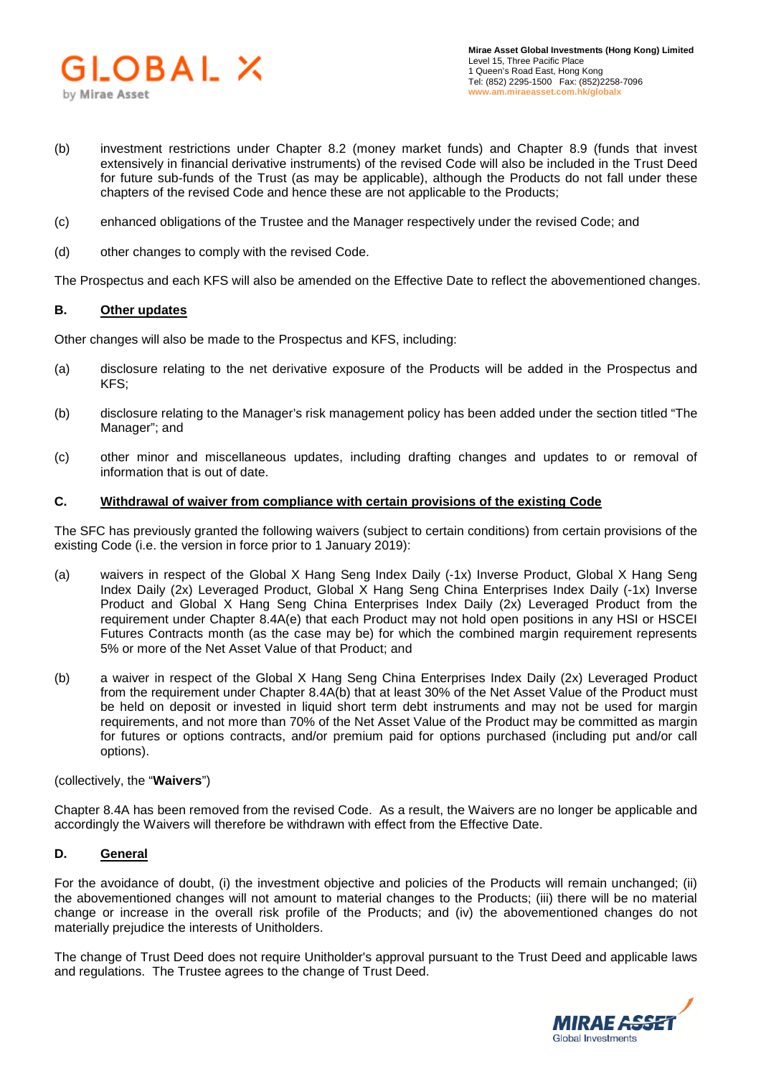

- (b) investment restrictions under Chapter 8.2 (money market funds) and Chapter 8.9 (funds that invest extensively in financial derivative instruments) of the revised Code will also be included in the Trust Deed for future sub-funds of the Trust (as may be applicable), although the Products do not fall under these chapters of the revised Code and hence these are not applicable to the Products;
- (c) enhanced obligations of the Trustee and the Manager respectively under the revised Code; and
- (d) other changes to comply with the revised Code.

The Prospectus and each KFS will also be amended on the Effective Date to reflect the abovementioned changes.

#### **B. Other updates**

Other changes will also be made to the Prospectus and KFS, including:

- (a) disclosure relating to the net derivative exposure of the Products will be added in the Prospectus and KFS;
- (b) disclosure relating to the Manager's risk management policy has been added under the section titled "The Manager"; and
- (c) other minor and miscellaneous updates, including drafting changes and updates to or removal of information that is out of date.

#### **C. Withdrawal of waiver from compliance with certain provisions of the existing Code**

The SFC has previously granted the following waivers (subject to certain conditions) from certain provisions of the existing Code (i.e. the version in force prior to 1 January 2019):

- (a) waivers in respect of the Global X Hang Seng Index Daily (-1x) Inverse Product, Global X Hang Seng Index Daily (2x) Leveraged Product, Global X Hang Seng China Enterprises Index Daily (-1x) Inverse Product and Global X Hang Seng China Enterprises Index Daily (2x) Leveraged Product from the requirement under Chapter 8.4A(e) that each Product may not hold open positions in any HSI or HSCEI Futures Contracts month (as the case may be) for which the combined margin requirement represents 5% or more of the Net Asset Value of that Product; and
- (b) a waiver in respect of the Global X Hang Seng China Enterprises Index Daily (2x) Leveraged Product from the requirement under Chapter 8.4A(b) that at least 30% of the Net Asset Value of the Product must be held on deposit or invested in liquid short term debt instruments and may not be used for margin requirements, and not more than 70% of the Net Asset Value of the Product may be committed as margin for futures or options contracts, and/or premium paid for options purchased (including put and/or call options).

(collectively, the "**Waivers**")

Chapter 8.4A has been removed from the revised Code. As a result, the Waivers are no longer be applicable and accordingly the Waivers will therefore be withdrawn with effect from the Effective Date.

## **D. General**

For the avoidance of doubt, (i) the investment objective and policies of the Products will remain unchanged; (ii) the abovementioned changes will not amount to material changes to the Products; (iii) there will be no material change or increase in the overall risk profile of the Products; and (iv) the abovementioned changes do not materially prejudice the interests of Unitholders.

The change of Trust Deed does not require Unitholder's approval pursuant to the Trust Deed and applicable laws and regulations. The Trustee agrees to the change of Trust Deed.